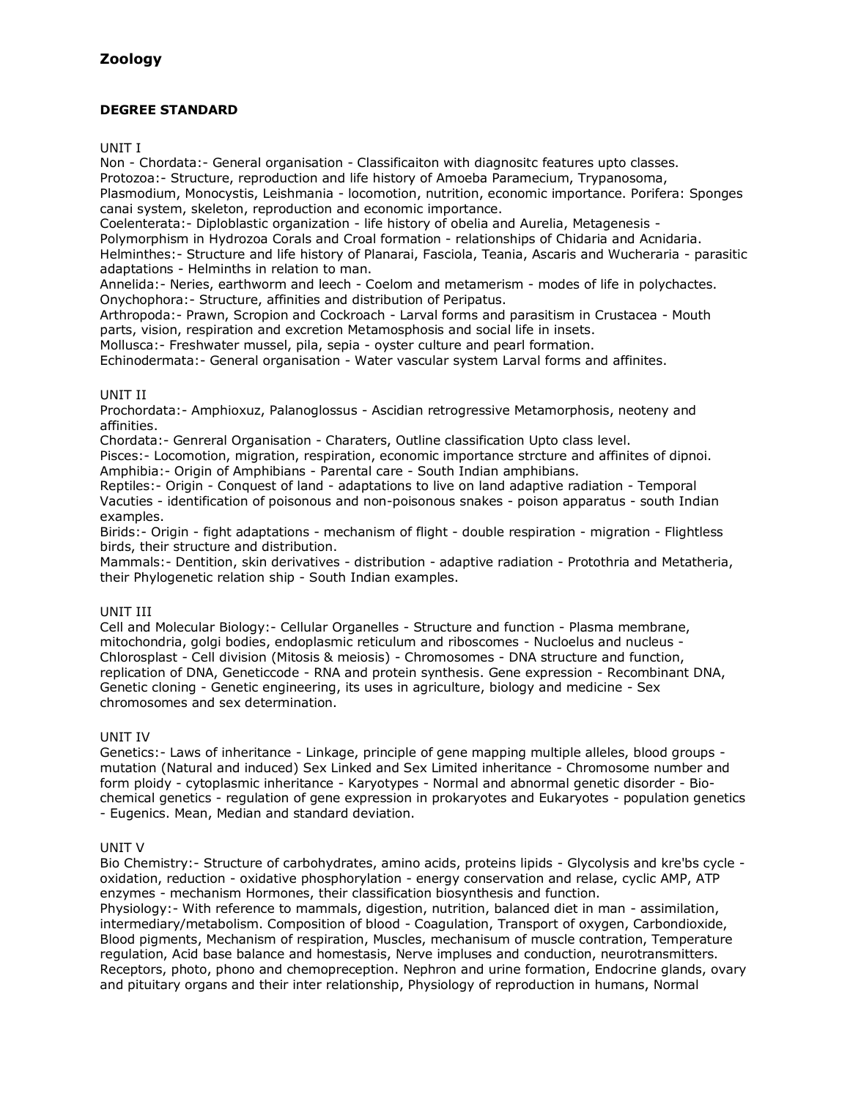## **DEGREE STANDARD**

UNIT I

Non - Chordata:- General organisation - Classificaiton with diagnositc features upto classes. Protozoa:- Structure, reproduction and life history of Amoeba Paramecium, Trypanosoma, Plasmodium, Monocystis, Leishmania - locomotion, nutrition, economic importance. Porifera: Sponges canai system, skeleton, reproduction and economic importance.

Coelenterata:- Diploblastic organization - life history of obelia and Aurelia, Metagenesis -

Polymorphism in Hydrozoa Corals and Croal formation - relationships of Chidaria and Acnidaria.

Helminthes:- Structure and life history of Planarai, Fasciola, Teania, Ascaris and Wucheraria - parasitic adaptations - Helminths in relation to man.

Annelida:- Neries, earthworm and leech - Coelom and metamerism - modes of life in polychactes. Onychophora:- Structure, affinities and distribution of Peripatus.

Arthropoda:- Prawn, Scropion and Cockroach - Larval forms and parasitism in Crustacea - Mouth parts, vision, respiration and excretion Metamosphosis and social life in insets.

Mollusca:- Freshwater mussel, pila, sepia - oyster culture and pearl formation.

Echinodermata:- General organisation - Water vascular system Larval forms and affinites.

### UNIT II

Prochordata:- Amphioxuz, Palanoglossus - Ascidian retrogressive Metamorphosis, neoteny and affinities.

Chordata:- Genreral Organisation - Charaters, Outline classification Upto class level.

Pisces:- Locomotion, migration, respiration, economic importance strcture and affinites of dipnoi. Amphibia:- Origin of Amphibians - Parental care - South Indian amphibians.

Reptiles:- Origin - Conquest of land - adaptations to live on land adaptive radiation - Temporal Vacuties - identification of poisonous and non-poisonous snakes - poison apparatus - south Indian examples.

Birids:- Origin - fight adaptations - mechanism of flight - double respiration - migration - Flightless birds, their structure and distribution.

Mammals:- Dentition, skin derivatives - distribution - adaptive radiation - Protothria and Metatheria, their Phylogenetic relation ship - South Indian examples.

### UNIT III

Cell and Molecular Biology:- Cellular Organelles - Structure and function - Plasma membrane, mitochondria, golgi bodies, endoplasmic reticulum and riboscomes - Nucloelus and nucleus - Chlorosplast - Cell division (Mitosis & meiosis) - Chromosomes - DNA structure and function, replication of DNA, Geneticcode - RNA and protein synthesis. Gene expression - Recombinant DNA, Genetic cloning - Genetic engineering, its uses in agriculture, biology and medicine - Sex chromosomes and sex determination.

### UNIT IV

Genetics:- Laws of inheritance - Linkage, principle of gene mapping multiple alleles, blood groups mutation (Natural and induced) Sex Linked and Sex Limited inheritance - Chromosome number and form ploidy - cytoplasmic inheritance - Karyotypes - Normal and abnormal genetic disorder - Biochemical genetics - regulation of gene expression in prokaryotes and Eukaryotes - population genetics - Eugenics. Mean, Median and standard deviation.

### UNIT V

Bio Chemistry:- Structure of carbohydrates, amino acids, proteins lipids - Glycolysis and kre'bs cycle oxidation, reduction - oxidative phosphorylation - energy conservation and relase, cyclic AMP, ATP enzymes - mechanism Hormones, their classification biosynthesis and function. Physiology:- With reference to mammals, digestion, nutrition, balanced diet in man - assimilation, intermediary/metabolism. Composition of blood - Coagulation, Transport of oxygen, Carbondioxide, Blood pigments, Mechanism of respiration, Muscles, mechanisum of muscle contration, Temperature regulation, Acid base balance and homestasis, Nerve impluses and conduction, neurotransmitters. Receptors, photo, phono and chemopreception. Nephron and urine formation, Endocrine glands, ovary and pituitary organs and their inter relationship, Physiology of reproduction in humans, Normal